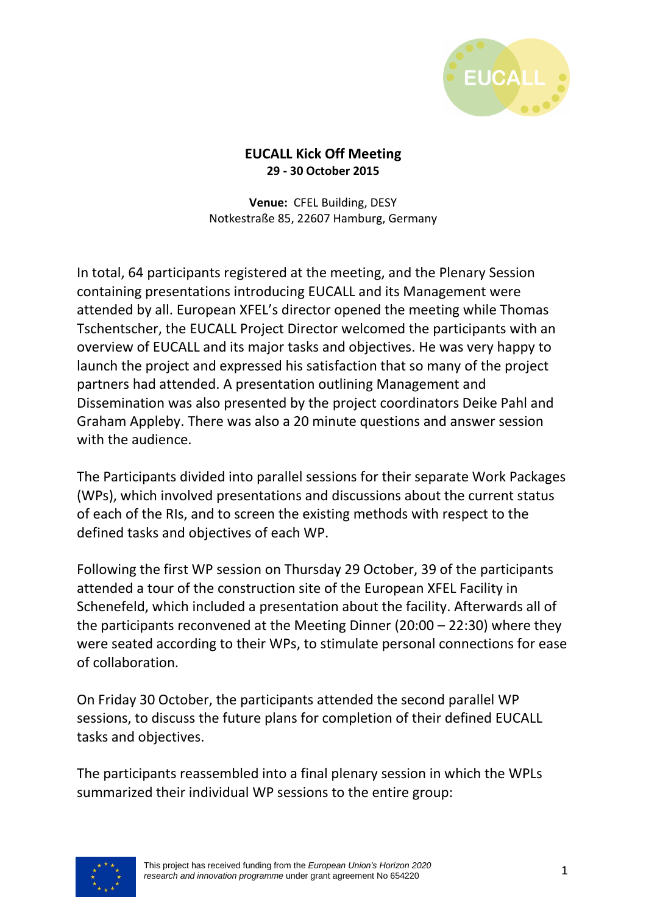

#### **EUCALL Kick Off Meeting 29 - 30 October 2015**

**Venue:** CFEL Building, DESY Notkestraße 85, 22607 Hamburg, Germany

In total, 64 participants registered at the meeting, and the Plenary Session containing presentations introducing EUCALL and its Management were attended by all. European XFEL's director opened the meeting while Thomas Tschentscher, the EUCALL Project Director welcomed the participants with an overview of EUCALL and its major tasks and objectives. He was very happy to launch the project and expressed his satisfaction that so many of the project partners had attended. A presentation outlining Management and Dissemination was also presented by the project coordinators Deike Pahl and Graham Appleby. There was also a 20 minute questions and answer session with the audience.

The Participants divided into parallel sessions for their separate Work Packages (WPs), which involved presentations and discussions about the current status of each of the RIs, and to screen the existing methods with respect to the defined tasks and objectives of each WP.

Following the first WP session on Thursday 29 October, 39 of the participants attended a tour of the construction site of the European XFEL Facility in Schenefeld, which included a presentation about the facility. Afterwards all of the participants reconvened at the Meeting Dinner (20:00 – 22:30) where they were seated according to their WPs, to stimulate personal connections for ease of collaboration.

On Friday 30 October, the participants attended the second parallel WP sessions, to discuss the future plans for completion of their defined EUCALL tasks and objectives.

The participants reassembled into a final plenary session in which the WPLs summarized their individual WP sessions to the entire group:

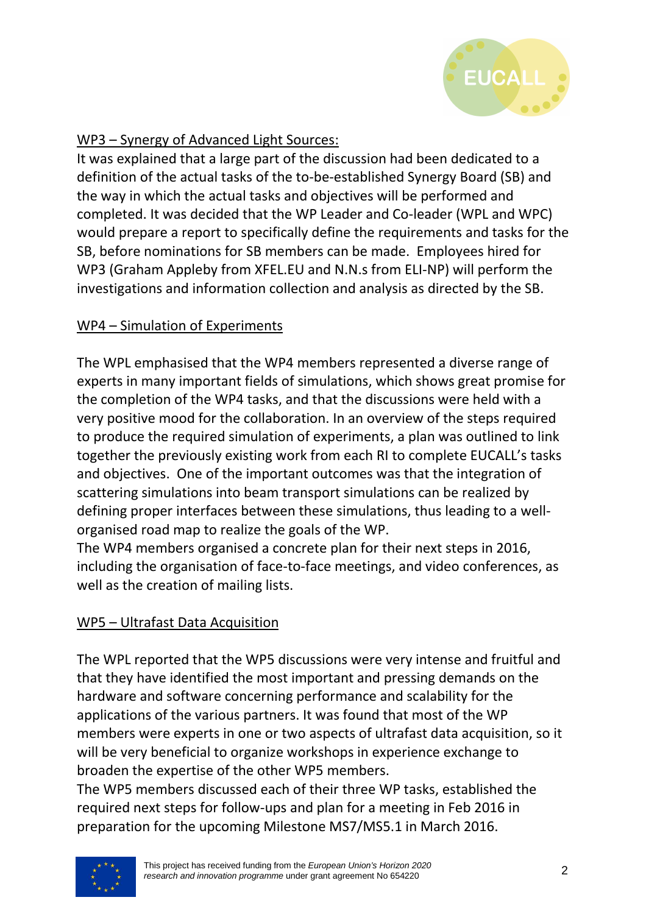

# WP3 – Synergy of Advanced Light Sources:

It was explained that a large part of the discussion had been dedicated to a definition of the actual tasks of the to-be-established Synergy Board (SB) and the way in which the actual tasks and objectives will be performed and completed. It was decided that the WP Leader and Co-leader (WPL and WPC) would prepare a report to specifically define the requirements and tasks for the SB, before nominations for SB members can be made. Employees hired for WP3 (Graham Appleby from XFEL.EU and N.N.s from ELI-NP) will perform the investigations and information collection and analysis as directed by the SB.

# WP4 – Simulation of Experiments

The WPL emphasised that the WP4 members represented a diverse range of experts in many important fields of simulations, which shows great promise for the completion of the WP4 tasks, and that the discussions were held with a very positive mood for the collaboration. In an overview of the steps required to produce the required simulation of experiments, a plan was outlined to link together the previously existing work from each RI to complete EUCALL's tasks and objectives. One of the important outcomes was that the integration of scattering simulations into beam transport simulations can be realized by defining proper interfaces between these simulations, thus leading to a wellorganised road map to realize the goals of the WP.

The WP4 members organised a concrete plan for their next steps in 2016, including the organisation of face-to-face meetings, and video conferences, as well as the creation of mailing lists.

# WP5 – Ultrafast Data Acquisition

The WPL reported that the WP5 discussions were very intense and fruitful and that they have identified the most important and pressing demands on the hardware and software concerning performance and scalability for the applications of the various partners. It was found that most of the WP members were experts in one or two aspects of ultrafast data acquisition, so it will be very beneficial to organize workshops in experience exchange to broaden the expertise of the other WP5 members.

The WP5 members discussed each of their three WP tasks, established the required next steps for follow-ups and plan for a meeting in Feb 2016 in preparation for the upcoming Milestone MS7/MS5.1 in March 2016.

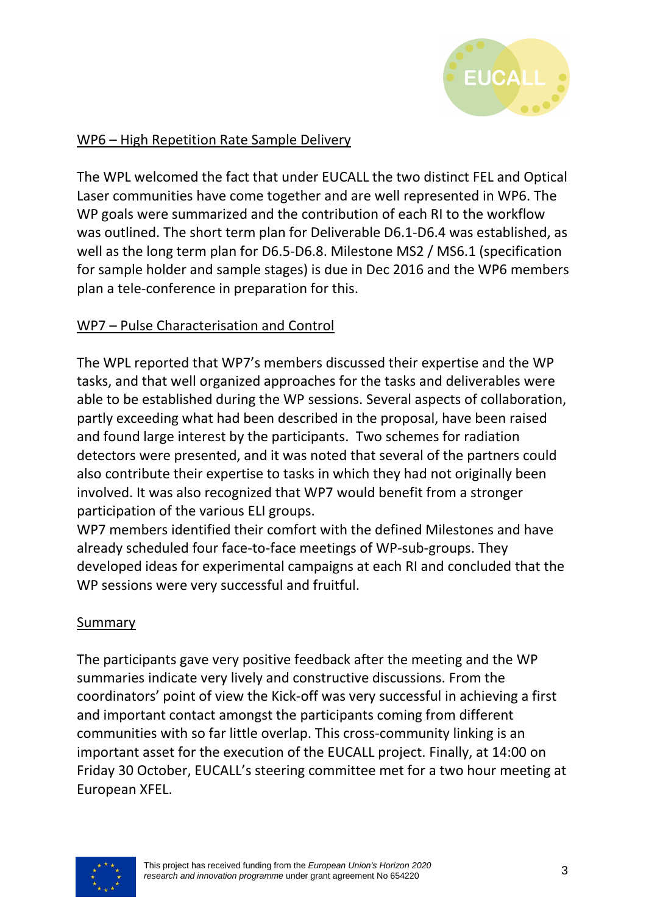

# WP6 – High Repetition Rate Sample Delivery

The WPL welcomed the fact that under EUCALL the two distinct FEL and Optical Laser communities have come together and are well represented in WP6. The WP goals were summarized and the contribution of each RI to the workflow was outlined. The short term plan for Deliverable D6.1-D6.4 was established, as well as the long term plan for D6.5-D6.8. Milestone MS2 / MS6.1 (specification for sample holder and sample stages) is due in Dec 2016 and the WP6 members plan a tele-conference in preparation for this.

# WP7 – Pulse Characterisation and Control

The WPL reported that WP7's members discussed their expertise and the WP tasks, and that well organized approaches for the tasks and deliverables were able to be established during the WP sessions. Several aspects of collaboration, partly exceeding what had been described in the proposal, have been raised and found large interest by the participants. Two schemes for radiation detectors were presented, and it was noted that several of the partners could also contribute their expertise to tasks in which they had not originally been involved. It was also recognized that WP7 would benefit from a stronger participation of the various ELI groups.

WP7 members identified their comfort with the defined Milestones and have already scheduled four face-to-face meetings of WP-sub-groups. They developed ideas for experimental campaigns at each RI and concluded that the WP sessions were very successful and fruitful.

## Summary

The participants gave very positive feedback after the meeting and the WP summaries indicate very lively and constructive discussions. From the coordinators' point of view the Kick-off was very successful in achieving a first and important contact amongst the participants coming from different communities with so far little overlap. This cross-community linking is an important asset for the execution of the EUCALL project. Finally, at 14:00 on Friday 30 October, EUCALL's steering committee met for a two hour meeting at European XFEL.

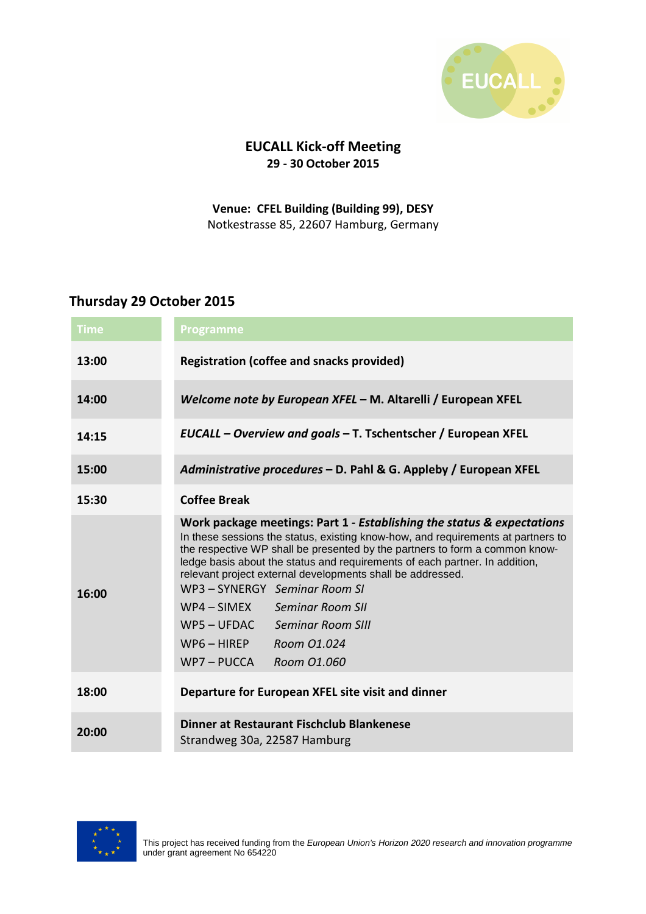

# **EUCALL Kick-off Meeting 29 - 30 October 2015**

#### **Venue: CFEL Building (Building 99), DESY** Notkestrasse 85, 22607 Hamburg, Germany

#### **Thursday 29 October 2015**

| <b>Time</b> | Programme                                                                                                                                                                                                                                                                                                                                                                                                                                                                                                                                                                  |
|-------------|----------------------------------------------------------------------------------------------------------------------------------------------------------------------------------------------------------------------------------------------------------------------------------------------------------------------------------------------------------------------------------------------------------------------------------------------------------------------------------------------------------------------------------------------------------------------------|
| 13:00       | <b>Registration (coffee and snacks provided)</b>                                                                                                                                                                                                                                                                                                                                                                                                                                                                                                                           |
| 14:00       | Welcome note by European XFEL - M. Altarelli / European XFEL                                                                                                                                                                                                                                                                                                                                                                                                                                                                                                               |
| 14:15       | EUCALL - Overview and goals - T. Tschentscher / European XFEL                                                                                                                                                                                                                                                                                                                                                                                                                                                                                                              |
| 15:00       | Administrative procedures - D. Pahl & G. Appleby / European XFEL                                                                                                                                                                                                                                                                                                                                                                                                                                                                                                           |
| 15:30       | <b>Coffee Break</b>                                                                                                                                                                                                                                                                                                                                                                                                                                                                                                                                                        |
| 16:00       | Work package meetings: Part 1 - Establishing the status & expectations<br>In these sessions the status, existing know-how, and requirements at partners to<br>the respective WP shall be presented by the partners to form a common know-<br>ledge basis about the status and requirements of each partner. In addition,<br>relevant project external developments shall be addressed.<br>WP3 - SYNERGY Seminar Room SI<br>$WP4-SIMEX$<br><b>Seminar Room SII</b><br>$WP5 - UFDAC$<br><b>Seminar Room SIII</b><br>$WP6 - HIREP$<br>Room 01.024<br>WP7-PUCCA<br>Room 01.060 |
| 18:00       | Departure for European XFEL site visit and dinner                                                                                                                                                                                                                                                                                                                                                                                                                                                                                                                          |
| 20:00       | Dinner at Restaurant Fischclub Blankenese<br>Strandweg 30a, 22587 Hamburg                                                                                                                                                                                                                                                                                                                                                                                                                                                                                                  |

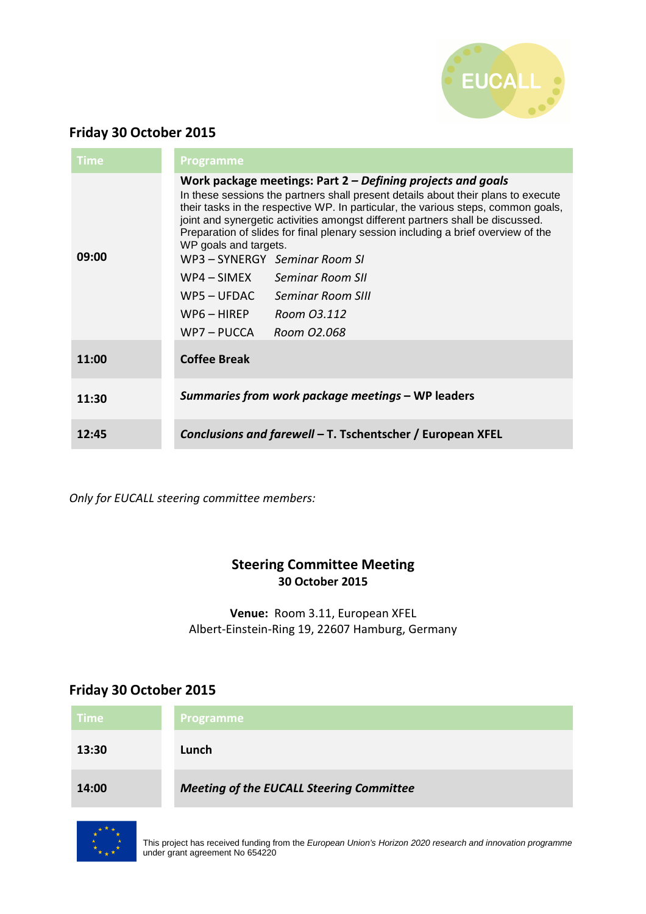

### **Friday 30 October 2015**

| <b>Time</b> | <b>Programme</b>                                                                                                                                                                                                                                                                                                                                                                                                                                                                                                                                                                                           |
|-------------|------------------------------------------------------------------------------------------------------------------------------------------------------------------------------------------------------------------------------------------------------------------------------------------------------------------------------------------------------------------------------------------------------------------------------------------------------------------------------------------------------------------------------------------------------------------------------------------------------------|
| 09:00       | Work package meetings: Part $2$ – Defining projects and goals<br>In these sessions the partners shall present details about their plans to execute<br>their tasks in the respective WP. In particular, the various steps, common goals,<br>joint and synergetic activities amongst different partners shall be discussed.<br>Preparation of slides for final plenary session including a brief overview of the<br>WP goals and targets.<br>WP3 - SYNERGY Seminar Room SI<br>WP4 – SIMEX Seminar Room SII<br>$WP5 - UFDAC$<br>Seminar Room SIII<br>WP6 – HIREP<br>Room 03.112<br>WP7 – PUCCA<br>Room 02.068 |
| 11:00       | <b>Coffee Break</b>                                                                                                                                                                                                                                                                                                                                                                                                                                                                                                                                                                                        |
| 11:30       | Summaries from work package meetings – WP leaders                                                                                                                                                                                                                                                                                                                                                                                                                                                                                                                                                          |
| 12:45       | Conclusions and farewell – T. Tschentscher / European XFEL                                                                                                                                                                                                                                                                                                                                                                                                                                                                                                                                                 |

*Only for EUCALL steering committee members:* 

#### **Steering Committee Meeting 30 October 2015**

**Venue:** Room 3.11, European XFEL Albert-Einstein-Ring 19, 22607 Hamburg, Germany

# **Friday 30 October 2015**

| <b>Time</b> | <b>Programme</b>                                |
|-------------|-------------------------------------------------|
| 13:30       | Lunch                                           |
| 14:00       | <b>Meeting of the EUCALL Steering Committee</b> |



This project has received funding from the European Union's Horizon 2020 research and innovation programme under grant agreement No 654220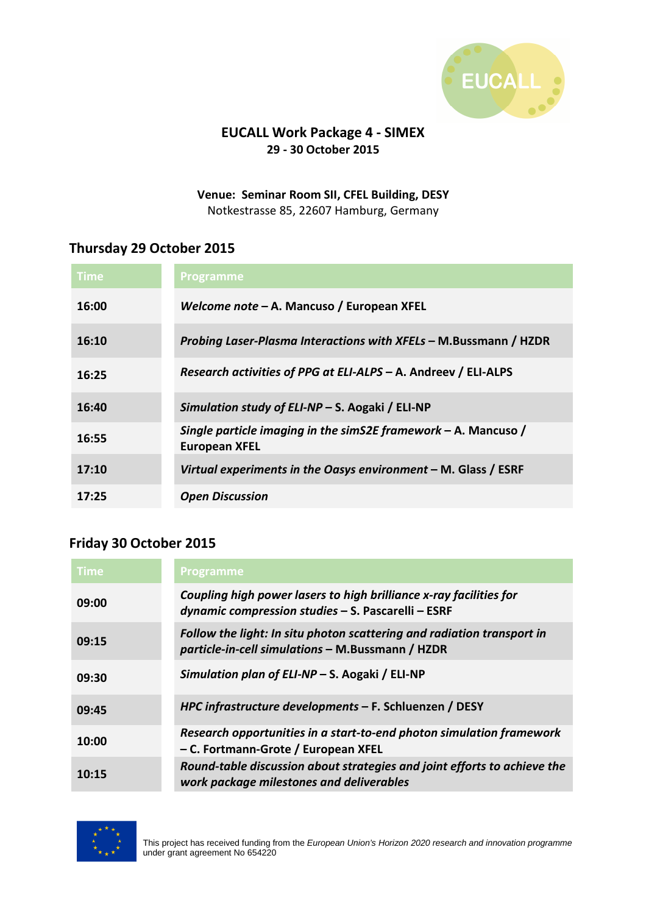

### **EUCALL Work Package 4 - SIMEX 29 - 30 October 2015**

**Venue: Seminar Room SII, CFEL Building, DESY** Notkestrasse 85, 22607 Hamburg, Germany

#### **Thursday 29 October 2015**

| Time  | <b>Programme</b>                                                                         |
|-------|------------------------------------------------------------------------------------------|
| 16:00 | Welcome note – A. Mancuso / European XFEL                                                |
| 16:10 | <i>Probing Laser-Plasma Interactions with XFELs - M.Bussmann / HZDR</i>                  |
| 16:25 | Research activities of PPG at ELI-ALPS - A. Andreev / ELI-ALPS                           |
| 16:40 | Simulation study of ELI-NP – S. Aogaki / ELI-NP                                          |
| 16:55 | Single particle imaging in the simS2E framework $-$ A. Mancuso /<br><b>European XFEL</b> |
| 17:10 | Virtual experiments in the Oasys environment $-$ M. Glass / ESRF                         |
| 17:25 | <b>Open Discussion</b>                                                                   |

#### **Friday 30 October 2015**

| <b>Time</b> | <b>Programme</b>                                                                                                           |
|-------------|----------------------------------------------------------------------------------------------------------------------------|
| 09:00       | Coupling high power lasers to high brilliance x-ray facilities for<br>dynamic compression studies - S. Pascarelli - ESRF   |
| 09:15       | Follow the light: In situ photon scattering and radiation transport in<br>particle-in-cell simulations - M.Bussmann / HZDR |
| 09:30       | Simulation plan of ELI-NP - S. Aogaki / ELI-NP                                                                             |
| 09:45       | HPC infrastructure developments - F. Schluenzen / DESY                                                                     |
| 10:00       | Research opportunities in a start-to-end photon simulation framework<br>- C. Fortmann-Grote / European XFEL                |
| 10:15       | Round-table discussion about strategies and joint efforts to achieve the<br>work package milestones and deliverables       |

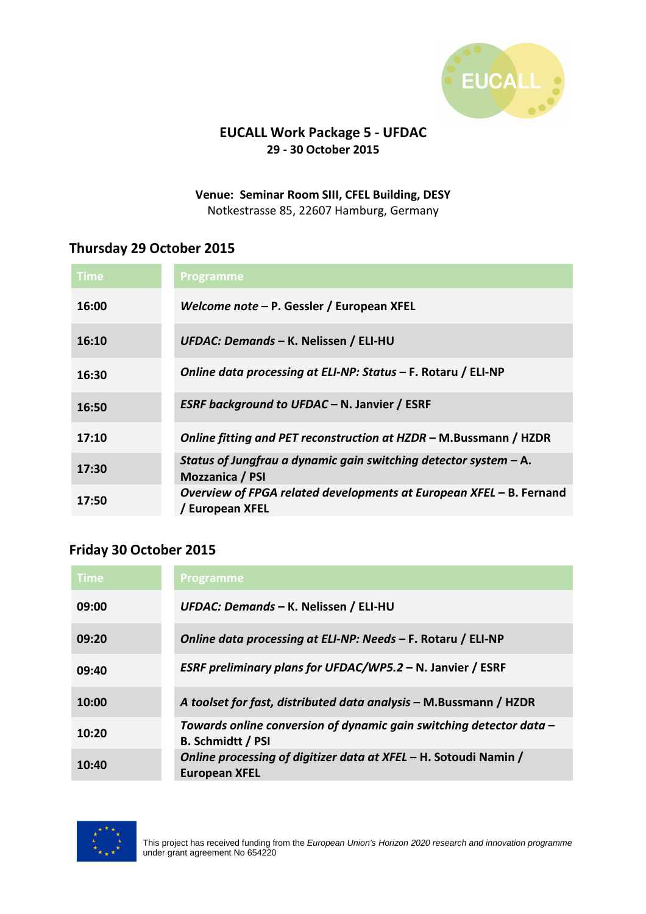

### **EUCALL Work Package 5 - UFDAC 29 - 30 October 2015**

**Venue: Seminar Room SIII, CFEL Building, DESY** Notkestrasse 85, 22607 Hamburg, Germany

### **Thursday 29 October 2015**

| Time  | <b>Programme</b>                                                                       |
|-------|----------------------------------------------------------------------------------------|
| 16:00 | Welcome note - P. Gessler / European XFEL                                              |
| 16:10 | UFDAC: Demands - K. Nelissen / ELI-HU                                                  |
| 16:30 | Online data processing at ELI-NP: Status - F. Rotaru / ELI-NP                          |
| 16:50 | <b>ESRF background to UFDAC - N. Janvier / ESRF</b>                                    |
| 17:10 | Online fitting and PET reconstruction at HZDR – M.Bussmann / HZDR                      |
| 17:30 | Status of Jungfrau a dynamic gain switching detector system $-$ A.<br>Mozzanica / PSI  |
| 17:50 | Overview of FPGA related developments at European XFEL - B. Fernand<br>/ European XFEL |

## **Friday 30 October 2015**

| <b>Time</b> | <b>Programme</b>                                                                                |
|-------------|-------------------------------------------------------------------------------------------------|
| 09:00       | UFDAC: Demands - K. Nelissen / ELI-HU                                                           |
| 09:20       | Online data processing at ELI-NP: Needs - F. Rotaru / ELI-NP                                    |
| 09:40       | ESRF preliminary plans for UFDAC/WP5.2 - N. Janvier / ESRF                                      |
| 10:00       | A toolset for fast, distributed data analysis – M.Bussmann / HZDR                               |
| 10:20       | Towards online conversion of dynamic gain switching detector data -<br><b>B. Schmidtt / PSI</b> |
| 10:40       | Online processing of digitizer data at XFEL - H. Sotoudi Namin /<br><b>European XFEL</b>        |

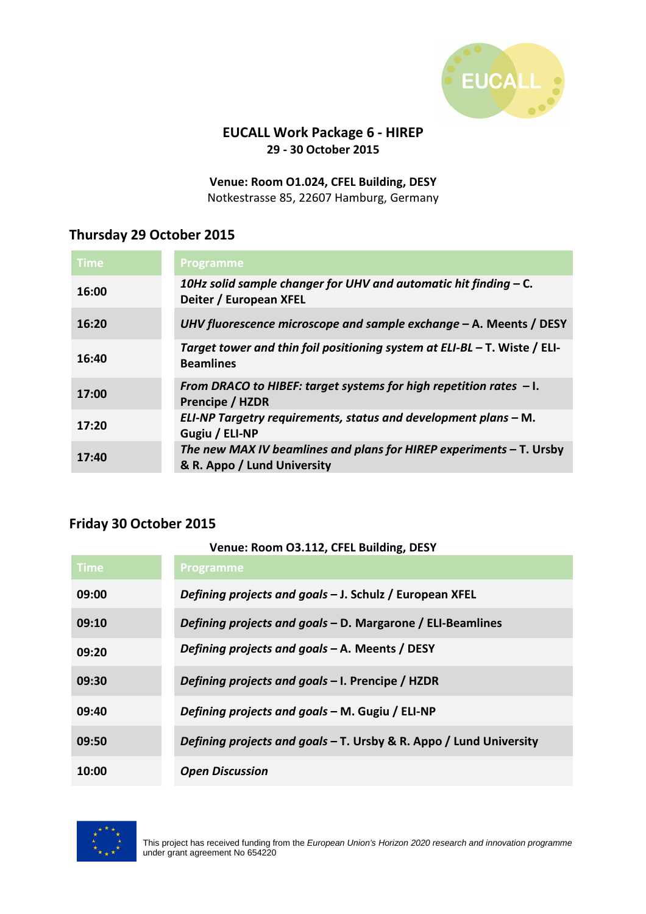

#### **EUCALL Work Package 6 - HIREP 29 - 30 October 2015**

**Venue: Room O1.024, CFEL Building, DESY** Notkestrasse 85, 22607 Hamburg, Germany

# **Thursday 29 October 2015**

| <b>Time</b> | <b>Programme</b>                                                                                     |
|-------------|------------------------------------------------------------------------------------------------------|
| 16:00       | 10Hz solid sample changer for UHV and automatic hit finding - C.<br>Deiter / European XFEL           |
| 16:20       | UHV fluorescence microscope and sample exchange - A. Meents / DESY                                   |
| 16:40       | Target tower and thin foil positioning system at ELI-BL $-$ T. Wiste / ELI-<br><b>Beamlines</b>      |
| 17:00       | From DRACO to HIBEF: target systems for high repetition rates $-1$ .<br><b>Prencipe / HZDR</b>       |
| 17:20       | ELI-NP Targetry requirements, status and development plans - M.<br>Gugiu / ELI-NP                    |
| 17:40       | The new MAX IV beamlines and plans for HIREP experiments $-$ T. Ursby<br>& R. Appo / Lund University |

## **Friday 30 October 2015**

| Venue: Room O3.112, CFEL Building, DESY |                                                                    |
|-----------------------------------------|--------------------------------------------------------------------|
| Time                                    | <b>Programme</b>                                                   |
| 09:00                                   | Defining projects and goals - J. Schulz / European XFEL            |
| 09:10                                   | Defining projects and goals - D. Margarone / ELI-Beamlines         |
| 09:20                                   | Defining projects and goals - A. Meents / DESY                     |
| 09:30                                   | Defining projects and goals - I. Prencipe / HZDR                   |
| 09:40                                   | Defining projects and goals - M. Gugiu / ELI-NP                    |
| 09:50                                   | Defining projects and goals - T. Ursby & R. Appo / Lund University |
| 10:00                                   | <b>Open Discussion</b>                                             |